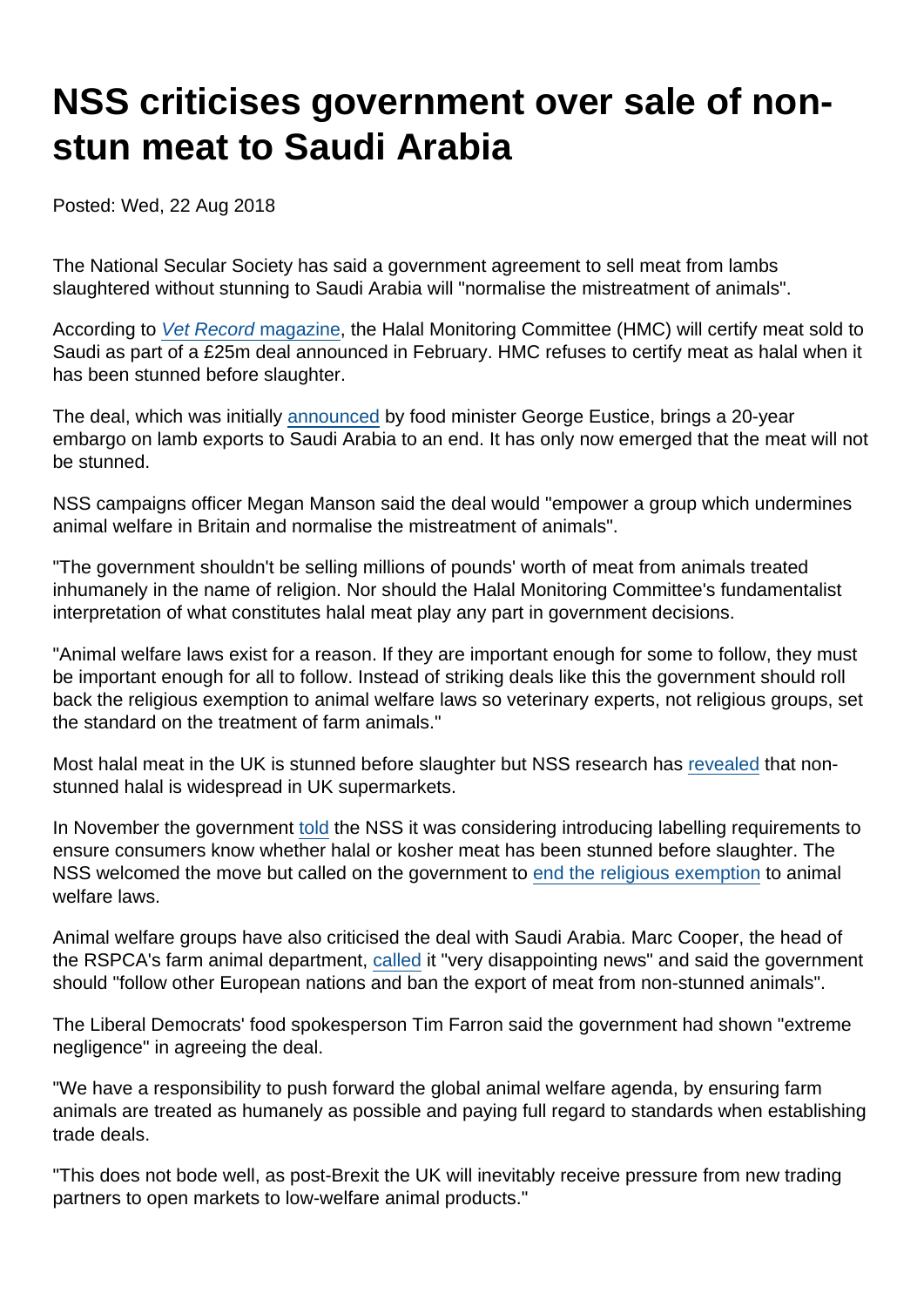## NSS criticises government over sale of nonstun meat to Saudi Arabia

Posted: Wed, 22 Aug 2018

The National Secular Society has said a government agreement to sell meat from lambs slaughtered without stunning to Saudi Arabia will "normalise the mistreatment of animals".

According to [Vet Record magazine](https://veterinaryrecord.bmj.com/content/183/7/204.1), the Halal Monitoring Committee (HMC) will certify meat sold to Saudi as part of a £25m deal announced in February. HMC refuses to certify meat as halal when it has been stunned before slaughter.

The deal, which was initially [announced](https://www.gov.uk/government/news/export-win-for-uk-food-producers-as-lamb-market-reopens-in-saudi-arabia) by food minister George Eustice, brings a 20-year embargo on lamb exports to Saudi Arabia to an end. It has only now emerged that the meat will not be stunned.

NSS campaigns officer Megan Manson said the deal would "empower a group which undermines animal welfare in Britain and normalise the mistreatment of animals".

"The government shouldn't be selling millions of pounds' worth of meat from animals treated inhumanely in the name of religion. Nor should the Halal Monitoring Committee's fundamentalist interpretation of what constitutes halal meat play any part in government decisions.

"Animal welfare laws exist for a reason. If they are important enough for some to follow, they must be important enough for all to follow. Instead of striking deals like this the government should roll back the religious exemption to animal welfare laws so veterinary experts, not religious groups, set the standard on the treatment of farm animals."

Most halal meat in the UK is stunned before slaughter but NSS research has [revealed](https://www.secularism.org.uk/news/2018/01/unstunned-meat-widespread-in-uk-supermarkets-nss-research-reveals) that nonstunned halal is widespread in UK supermarkets.

In November the government [told](https://www.secularism.org.uk/news/2017/11/government-considering-labelling-of-non-stunned-meat) the NSS it was considering introducing labelling requirements to ensure consumers know whether halal or kosher meat has been stunned before slaughter. The NSS welcomed the move but called on the government to [end the religious exemption](https://www.secularism.org.uk/religious-slaughter/) to animal welfare laws.

Animal welfare groups have also criticised the deal with Saudi Arabia. Marc Cooper, the head of the RSPCA's farm animal department, [called](https://inews.co.uk/news/uk/ministers-accused-of-planning-to-lower-animal-welfare-standards-post-brexit/) it "very disappointing news" and said the government should "follow other European nations and ban the export of meat from non-stunned animals".

The Liberal Democrats' food spokesperson Tim Farron said the government had shown "extreme negligence" in agreeing the deal.

"We have a responsibility to push forward the global animal welfare agenda, by ensuring farm animals are treated as humanely as possible and paying full regard to standards when establishing trade deals.

"This does not bode well, as post-Brexit the UK will inevitably receive pressure from new trading partners to open markets to low-welfare animal products."